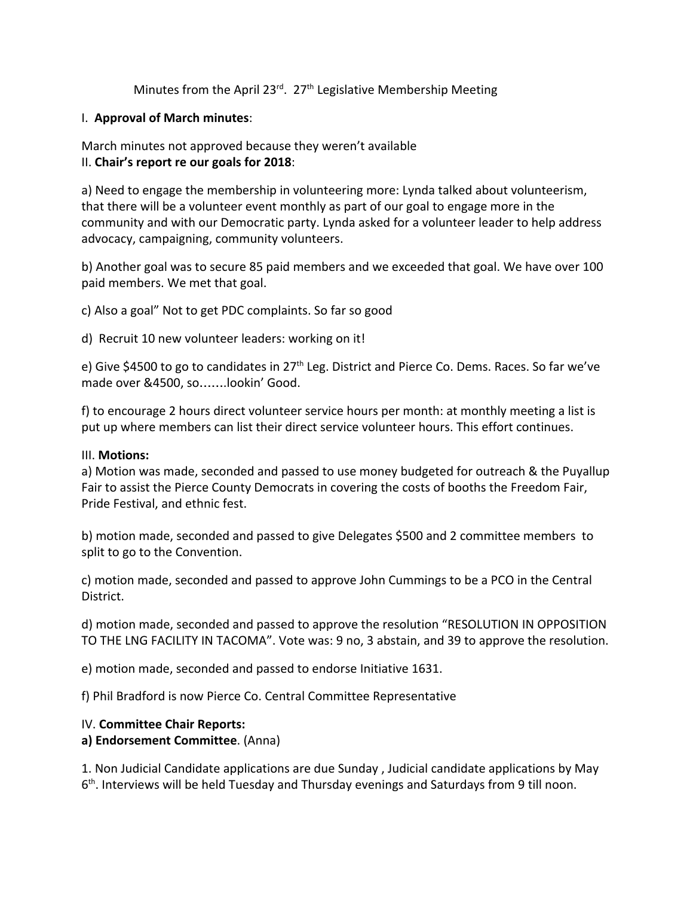Minutes from the April 23<sup>rd</sup>. 27<sup>th</sup> Legislative Membership Meeting

#### I. **Approval of March minutes**:

#### March minutes not approved because they weren't available II. **Chair's report re our goals for 2018**:

a) Need to engage the membership in volunteering more: Lynda talked about volunteerism, that there will be a volunteer event monthly as part of our goal to engage more in the community and with our Democratic party. Lynda asked for a volunteer leader to help address advocacy, campaigning, community volunteers.

b) Another goal was to secure 85 paid members and we exceeded that goal. We have over 100 paid members. We met that goal.

c) Also a goal" Not to get PDC complaints. So far so good

d) Recruit 10 new volunteer leaders: working on it!

e) Give \$4500 to go to candidates in 27<sup>th</sup> Leg. District and Pierce Co. Dems. Races. So far we've made over &4500, so…….lookin' Good.

f) to encourage 2 hours direct volunteer service hours per month: at monthly meeting a list is put up where members can list their direct service volunteer hours. This effort continues.

#### III. **Motions:**

a) Motion was made, seconded and passed to use money budgeted for outreach & the Puyallup Fair to assist the Pierce County Democrats in covering the costs of booths the Freedom Fair, Pride Festival, and ethnic fest.

b) motion made, seconded and passed to give Delegates \$500 and 2 committee members to split to go to the Convention.

c) motion made, seconded and passed to approve John Cummings to be a PCO in the Central District.

d) motion made, seconded and passed to approve the resolution "RESOLUTION IN OPPOSITION TO THE LNG FACILITY IN TACOMA". Vote was: 9 no, 3 abstain, and 39 to approve the resolution.

e) motion made, seconded and passed to endorse Initiative 1631.

f) Phil Bradford is now Pierce Co. Central Committee Representative

### IV. **Committee Chair Reports:**

### **a) Endorsement Committee**. (Anna)

1. Non Judicial Candidate applications are due Sunday , Judicial candidate applications by May 6<sup>th</sup>. Interviews will be held Tuesday and Thursday evenings and Saturdays from 9 till noon.